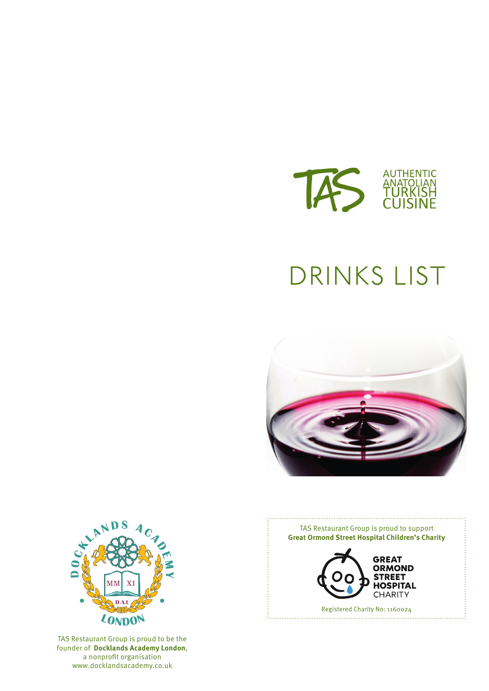

# DRINKS LIST





TAS Restaurant Group is proud to be the founder of **Docklands Academy London**, a nonprofit organisation www.docklandsacademy.co.uk

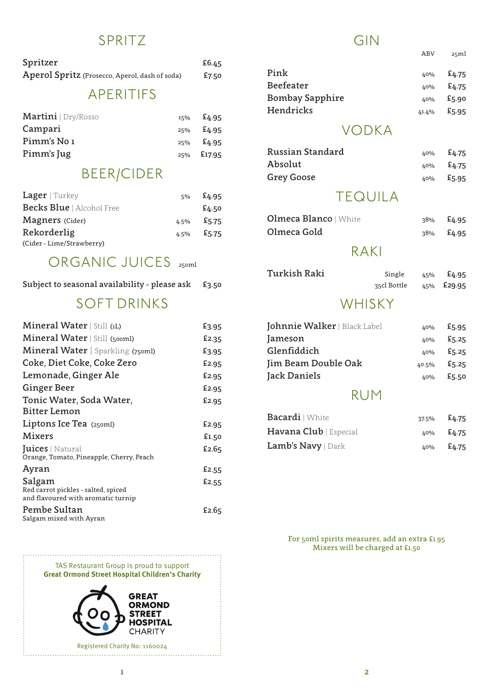## SPRITZ

| Spritzer                                       | £6.45 |
|------------------------------------------------|-------|
| Aperol Spritz (Prosecco, Aperol, dash of soda) | £7.50 |
| $\lambda$ DEDITIES                             |       |

#### APERITIFS

| <b>Martini</b>   Dry/Rosso | 15%    | £4.95      |
|----------------------------|--------|------------|
| Campari                    | $25\%$ | £4.95      |
| Pimm's No 1                | $25\%$ | £4.95      |
| Pimm's Jug                 |        | 25% £17.95 |

# BEER/CIDER

| Lager   Turkey                   | $5\%$   | £4.95 |
|----------------------------------|---------|-------|
| <b>Becks Blue</b>   Alcohol Free |         | £4.50 |
| Magners (Cider)                  | $4.5\%$ | £5.75 |
| Rekorderlig                      | $4.5\%$ | £5.75 |
| (Cider - Lime/Strawberry)        |         |       |

## ORGANIC JUICES 250ml

|  | Subject to seasonal availability - please as $k$ £3.50 |  |
|--|--------------------------------------------------------|--|
|--|--------------------------------------------------------|--|

# SOFT DRINKS

| <b>Mineral Water</b>   Still (IL)                                                   | £3.95 |
|-------------------------------------------------------------------------------------|-------|
| <b>Mineral Water</b> $\left  \right.$ Still (500ml)                                 | £2.35 |
| <b>Mineral Water</b>   Sparkling (750ml)                                            | £3.95 |
| Coke, Diet Coke, Coke Zero                                                          | £2.95 |
| Lemonade, Ginger Ale                                                                | £2.95 |
| Ginger Beer                                                                         | £2.95 |
| Tonic Water, Soda Water,                                                            | £2.95 |
| <b>Bitter Lemon</b>                                                                 |       |
| Liptons Ice Tea (250ml)                                                             | £2.95 |
| Mixers                                                                              | £1.50 |
| Juices   Natural<br>Orange, Tomato, Pineapple, Cherry, Peach                        | £2.65 |
| Ayran                                                                               | £2.55 |
| Salgam<br>Red carrot pickles - salted, spiced<br>and flavoured with aromatic turnip | £2.55 |
| Pembe Sultan<br>Salgam mixed with Ayran                                             | £2.65 |

# GIN

|                        | ABV   | 25ml  |
|------------------------|-------|-------|
| Pink                   | 40%   | £4.75 |
| Beefeater              | 40%   | £4.75 |
| <b>Bombay Sapphire</b> | 40%   | £5.90 |
| Hendricks              | 41.4% | £5.95 |
|                        |       |       |

#### VODKA

| Russian Standard  | 40% £4.75 |  |
|-------------------|-----------|--|
| Absolut           | 40% £4.75 |  |
| <b>Grey Goose</b> | 40% £5.95 |  |

#### TEQUILA

| <b>Olmeca Blanco</b>   White | 38% <b>£4.95</b> |
|------------------------------|------------------|
| Olmeca Gold                  | 38% <b>£4.95</b> |

RAKI

| Turkish Raki | Single      | 45% | £4.95             |
|--------------|-------------|-----|-------------------|
|              | 35cl Bottle |     | 45% <b>£29.95</b> |

## **WHISKY**

| Johnnie Walker   Black Label | 40%   | £5.95 |
|------------------------------|-------|-------|
| Jameson                      | 40%   | £5.25 |
| Glenfiddich                  | 40%   | £5.25 |
| Jim Beam Double Oak          | 40.5% | £5.25 |
| Jack Daniels                 | 40%   | £5.50 |
|                              |       |       |

#### RUM

| <b>Bacardi</b>   White | 37.5% £4.75 |              |
|------------------------|-------------|--------------|
| Havana Club   Especial |             | 40% £4.75    |
| Lamb's Navy   Dark     |             | $40\%$ £4.75 |

For 50ml spirits measures, add an extra £1.95 Mixers will be charged at £1.50

TAS Restaurant Group is proud to support **Great Ormond Street Hospital Children's Charity**



Registered Charity No: 1160024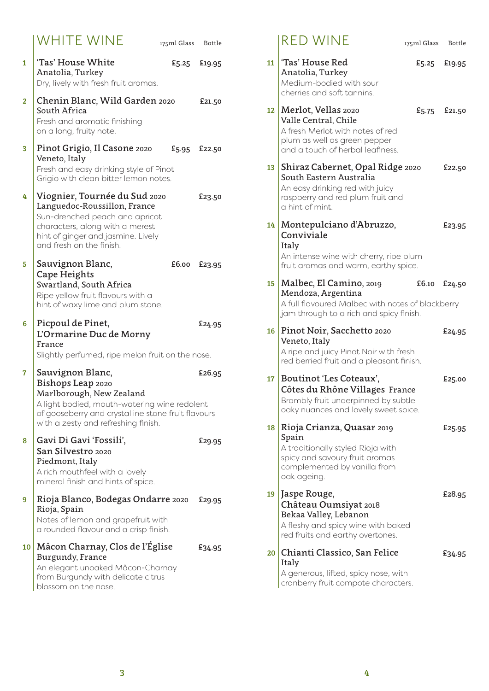|              | <b>WHITE WINE</b>                                                                                                                                                                                              | 175ml Glass | <b>Bottle</b> |
|--------------|----------------------------------------------------------------------------------------------------------------------------------------------------------------------------------------------------------------|-------------|---------------|
| 1            | 'Tas' House White<br>Anatolia, Turkey<br>Dry, lively with fresh fruit aromas.                                                                                                                                  | £5.25       | £19.95        |
| $\mathbf{z}$ | Chenin Blanc, Wild Garden 2020<br>South Africa<br>Fresh and aromatic finishing<br>on a long, fruity note.                                                                                                      |             | £21.50        |
| 3            | Pinot Grigio, Il Casone 2020<br>Veneto, Italy<br>Fresh and easy drinking style of Pinot<br>Grigio with clean bitter lemon notes.                                                                               | £5.95       | £22.50        |
| 4            | Viognier, Tournée du Sud 2020<br>Languedoc-Roussillon, France<br>Sun-drenched peach and apricot<br>characters, along with a merest<br>hint of ginger and jasmine. Lively<br>and fresh on the finish.           |             | £23.50        |
| 5            | Sauvignon Blanc,<br>Cape Heights<br>Swartland, South Africa<br>Ripe yellow fruit flavours with a                                                                                                               | £6.00       | £23.95        |
|              | hint of waxy lime and plum stone.                                                                                                                                                                              |             |               |
| 6            | Picpoul de Pinet,<br>L'Ormarine Duc de Morny<br>France<br>Slightly perfumed, ripe melon fruit on the nose.                                                                                                     |             | £24.95        |
| 7            | Sauvignon Blanc,<br>Bishops Leap 2020<br>Marlborough, New Zealand<br>A light bodied, mouth-watering wine redolent<br>of gooseberry and crystalline stone fruit flavours<br>with a zesty and refreshing finish. |             | £26.95        |
| 8            | Gavi Di Gavi 'Fossili',<br>San Silvestro 2020<br>Piedmont, Italy<br>A rich mouthfeel with a lovely<br>mineral finish and hints of spice.                                                                       |             | £29.95        |
| 9            | Rioja Blanco, Bodegas Ondarre 2020<br>Rioja, Spain<br>Notes of lemon and grapefruit with<br>a rounded flavour and a crisp finish.                                                                              |             | £29.95        |

|    | RED WINE                                                                                                                                                  | 175ml Glass | Bottle |
|----|-----------------------------------------------------------------------------------------------------------------------------------------------------------|-------------|--------|
| 11 | 'Tas' House Red<br>Anatolia, Turkey<br>Medium-bodied with sour<br>cherries and soft tannins.                                                              | £5.25       | £19.95 |
| 12 | Merlot, Vellas 2020<br>Valle Central, Chile<br>A fresh Merlot with notes of red<br>plum as well as green pepper<br>and a touch of herbal leafiness.       | £5.75       | £21.50 |
| 13 | Shiraz Cabernet, Opal Ridge 2020<br>South Eastern Australia<br>An easy drinking red with juicy<br>raspberry and red plum fruit and<br>a hint of mint.     |             | £22.50 |
| 14 | Montepulciano d'Abruzzo,<br>Conviviale<br>Italy<br>An intense wine with cherry, ripe plum<br>fruit aromas and warm, earthy spice.                         |             | £23.95 |
| 15 | Malbec, El Camino, 2019<br>Mendoza, Argentina<br>A full flavoured Malbec with notes of blackberry<br>jam through to a rich and spicy finish.              | £6.10       | £24.50 |
| 16 | Pinot Noir, Sacchetto 2020<br>Veneto, Italy<br>A ripe and juicy Pinot Noir with fresh<br>red berried fruit and a pleasant finish.                         |             | £24.95 |
| 17 | Boutinot 'Les Coteaux',<br>Côtes du Rhône Villages France<br>Brambly fruit underpinned by subtle<br>oaky nuances and lovely sweet spice.                  |             | £25.00 |
| 18 | Rioja Crianza, Quasar 2019<br>Spain<br>A traditionally styled Rioja with<br>spicy and savoury fruit aromas<br>complemented by vanilla from<br>oak ageing. |             | £25.95 |
| 19 | Jaspe Rouge,<br>Château Oumsiyat 2018<br>Bekaa Valley, Lebanon<br>A fleshy and spicy wine with baked<br>red fruits and earthy overtones.                  |             | £28.95 |
| 20 | Chianti Classico, San Felice<br>Italy<br>A generous, lifted, spicy nose, with<br>cranberry fruit compote characters.                                      |             | £34.95 |